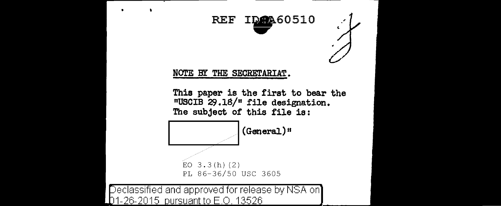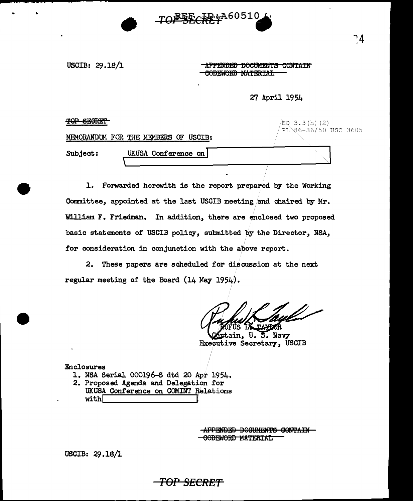

USCIB: 29.18/1

..

**-APPENDED DOCUMENTS CONTAIN** GODEWORD MATERIAL

27 April 1954

TOP SECRET EO 3.3(h) (2) PL 86-36/50 USC 3605 MEMORANDUM FOR THE MEMBERS OF USCIB: UKUSA Conference on Subject:  $\mathcal{L}% _{A}=\mathcal{L}_{A}\!\left( A\right) ,\ \mathcal{L}_{A}\!\left( A\right) ,$ 

1. Forwarded herewith is the report prepared by the Working Committee, appointed at the last USCIB meeting/and chaired by Mr. William F. Friedman. In addition, there are enclosed two proposed basic statements of USCIB policy, submitted by the Director, NSA, for consideration in conjunction with the above report.

2. These papers are scheduled for discussion at the next. regular meeting of the Board (14 May 1954).

TOP SECRET

aptain, U. S. Navy Executive Secretary, USCIB

Enclosures

- 1. NSA Serial 000196-S dtd 20 Apr 1954.
- 2. Proposed Agenda and Delegation for
- UKUSA Conference on COMINT Relations  $with  $\sqrt{2}$$

**APPENDED DOCUMENTS CONTAIN-**CODEWORD MATERIAL

USCIB: 29.18/l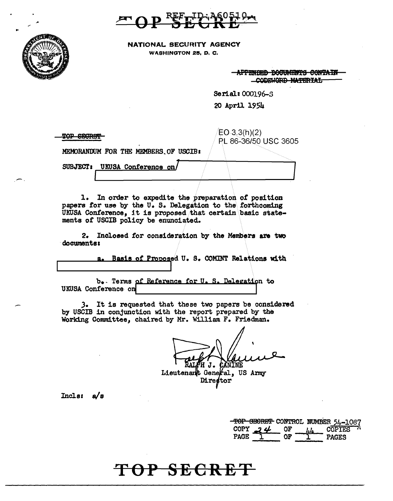NATIONAL SECURITY AGENCY WASHINGTON 25, D. C.

> APPENDED DOCUMENTS CONTAIN CODEWORD MATERIAL

> > $\int$

Serial: 000196-S

20 April 1954

..

 $\frac{1}{20}$   $\frac{1}{20}$   $\frac{1}{20}$   $\frac{1}{20}$   $\frac{1}{20}$   $\frac{1}{20}$   $\frac{1}{20}$   $\frac{1}{20}$   $\frac{1}{20}$   $\frac{1}{20}$   $\frac{1}{20}$   $\frac{1}{20}$   $\frac{1}{20}$   $\frac{1}{20}$   $\frac{1}{20}$   $\frac{1}{20}$   $\frac{1}{20}$   $\frac{1}{20}$   $\frac{1}{20}$   $\frac{1}{20}$ 

MEMORANDUM FOR THE MEMBERS OF USCIB:

SUBJECT: UKUSA Conference on/

I

1. In order to expedite the preparation of position papers for use by the U. S. Delegation to the forthcoming UKUSA Conference, it is proposed that certain basic statements or USCIB policy be enunciated.

2. Inclosed for consideration by the Members are two documents:

> a. Basis of Proposed U. S. COMINT Relations with  $\int_0^\infty$

b. Terms of Reference for U.S. Delegation to UKUSA Conference on

,3. It is requested that these two papers be considered by USCIB in conjunction with the report prepared by the Working Committee, chaired by Mr. William F. Friedman.

ЯJ. CANINE

Lieutenant General, US Army Director

Inclss a/s

|      |                                  |    |           | TOP SECRET CONTROL NUMBER 54-1087 |
|------|----------------------------------|----|-----------|-----------------------------------|
|      | COPY $\mathcal{I}$ $\mathcal{U}$ | OF | <b>LL</b> | $\overline{\text{COPIES}}^{-1}$   |
| PAGE |                                  | ሰፑ |           | <b>PAGES</b>                      |

### **TOP SECRET**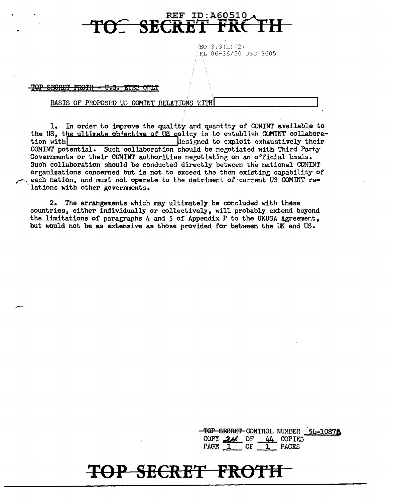

EO 3.3(h)(2) PL 86-36/50 USC 3605

TOP SECRET FROTH - U.S. EYES

#### BASIS OF PROPOSED US COMINT RELATIONS WITH

1. In order to improve the quality and quantity of COMINT available to the US, the ultimate objective of US policy is to establish COMINT collaboradesigned to exploit exhaustively their tion with COMINT potential. Such collaboration should be negotiated with Third Party Governments or their COMINT authorities negotiating on an official basis. Such collaboration should be conducted directly between the national COMINT organizations concerned but is not to exceed the then existing capability of each nation, and must not operate to the detriment of current US COMINT relations with other governments.

The arrangements which may ultimately be concluded with these  $2.$ countries, either individually or collectively, will probably extend beyond the limitations of paragraphs 4 and 5 of Appendix P to the UKUSA Agreement. but would not be as extensive as those provided for between the UK and US.

> TOP SECRET CONTROL NUMBER 54-10872 COPY  $24$  OF  $44$  COPIES PAGE 1 CF 1 PAGES

# TOP SECRET FROTH